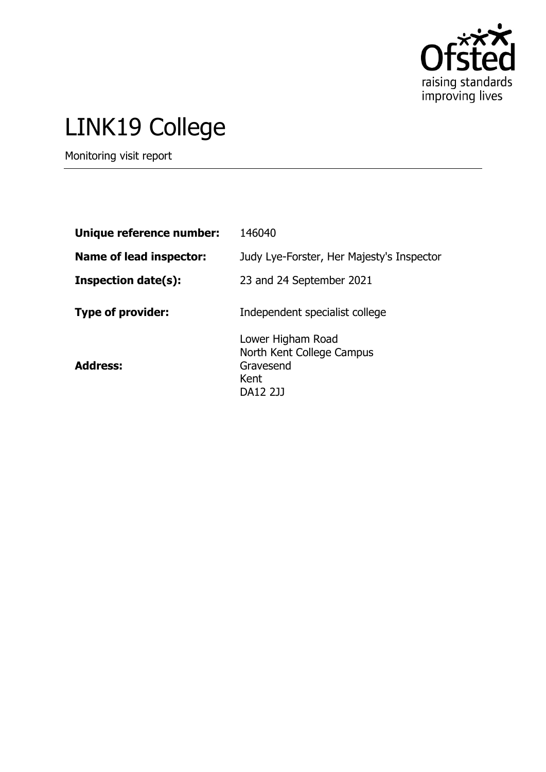

# LINK19 College

Monitoring visit report

| Unique reference number:   | 146040                                                                          |
|----------------------------|---------------------------------------------------------------------------------|
| Name of lead inspector:    | Judy Lye-Forster, Her Majesty's Inspector                                       |
| <b>Inspection date(s):</b> | 23 and 24 September 2021                                                        |
| <b>Type of provider:</b>   | Independent specialist college                                                  |
| <b>Address:</b>            | Lower Higham Road<br>North Kent College Campus<br>Gravesend<br>Kent<br>DA12 2JJ |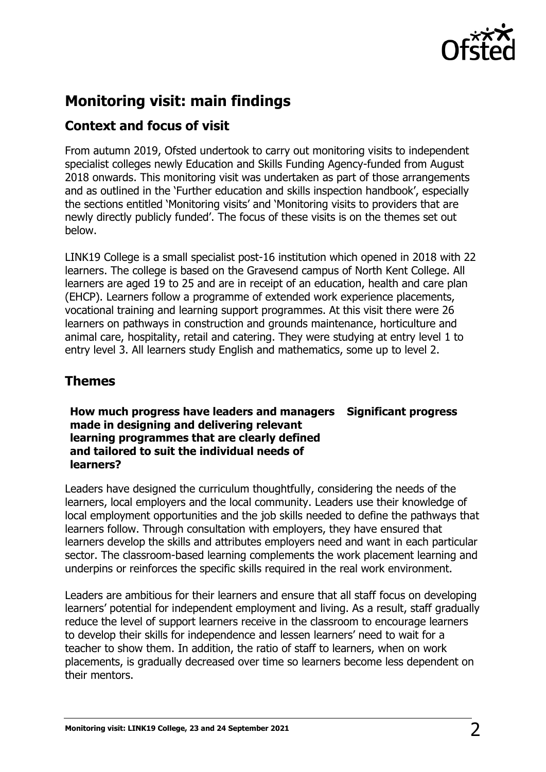

## **Monitoring visit: main findings**

#### **Context and focus of visit**

From autumn 2019, Ofsted undertook to carry out monitoring visits to independent specialist colleges newly Education and Skills Funding Agency-funded from August 2018 onwards. This monitoring visit was undertaken as part of those arrangements and as outlined in the 'Further education and skills inspection handbook', especially the sections entitled 'Monitoring visits' and 'Monitoring visits to providers that are newly directly publicly funded'. The focus of these visits is on the themes set out below.

LINK19 College is a small specialist post-16 institution which opened in 2018 with 22 learners. The college is based on the Gravesend campus of North Kent College. All learners are aged 19 to 25 and are in receipt of an education, health and care plan (EHCP). Learners follow a programme of extended work experience placements, vocational training and learning support programmes. At this visit there were 26 learners on pathways in construction and grounds maintenance, horticulture and animal care, hospitality, retail and catering. They were studying at entry level 1 to entry level 3. All learners study English and mathematics, some up to level 2.

### **Themes**

**How much progress have leaders and managers Significant progress made in designing and delivering relevant learning programmes that are clearly defined and tailored to suit the individual needs of learners?**

Leaders have designed the curriculum thoughtfully, considering the needs of the learners, local employers and the local community. Leaders use their knowledge of local employment opportunities and the job skills needed to define the pathways that learners follow. Through consultation with employers, they have ensured that learners develop the skills and attributes employers need and want in each particular sector. The classroom-based learning complements the work placement learning and underpins or reinforces the specific skills required in the real work environment.

Leaders are ambitious for their learners and ensure that all staff focus on developing learners' potential for independent employment and living. As a result, staff gradually reduce the level of support learners receive in the classroom to encourage learners to develop their skills for independence and lessen learners' need to wait for a teacher to show them. In addition, the ratio of staff to learners, when on work placements, is gradually decreased over time so learners become less dependent on their mentors.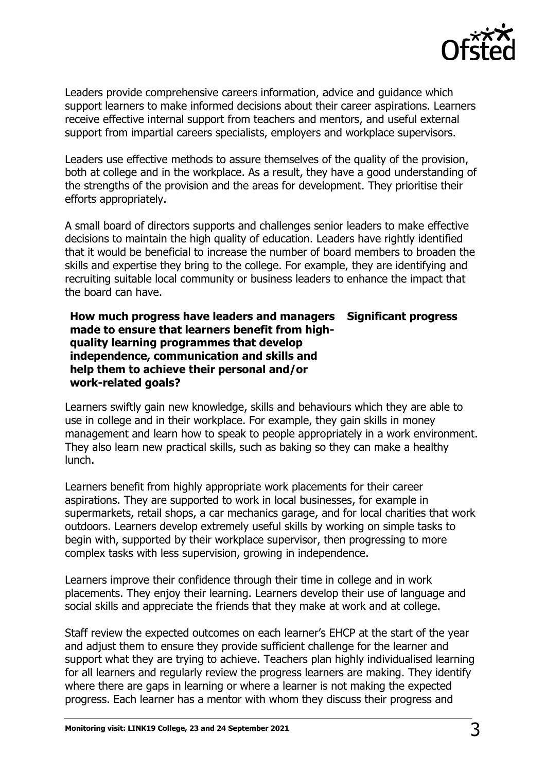

Leaders provide comprehensive careers information, advice and guidance which support learners to make informed decisions about their career aspirations. Learners receive effective internal support from teachers and mentors, and useful external support from impartial careers specialists, employers and workplace supervisors.

Leaders use effective methods to assure themselves of the quality of the provision, both at college and in the workplace. As a result, they have a good understanding of the strengths of the provision and the areas for development. They prioritise their efforts appropriately.

A small board of directors supports and challenges senior leaders to make effective decisions to maintain the high quality of education. Leaders have rightly identified that it would be beneficial to increase the number of board members to broaden the skills and expertise they bring to the college. For example, they are identifying and recruiting suitable local community or business leaders to enhance the impact that the board can have.

#### **How much progress have leaders and managers made to ensure that learners benefit from highquality learning programmes that develop independence, communication and skills and help them to achieve their personal and/or work-related goals? Significant progress**

Learners swiftly gain new knowledge, skills and behaviours which they are able to use in college and in their workplace. For example, they gain skills in money management and learn how to speak to people appropriately in a work environment. They also learn new practical skills, such as baking so they can make a healthy lunch.

Learners benefit from highly appropriate work placements for their career aspirations. They are supported to work in local businesses, for example in supermarkets, retail shops, a car mechanics garage, and for local charities that work outdoors. Learners develop extremely useful skills by working on simple tasks to begin with, supported by their workplace supervisor, then progressing to more complex tasks with less supervision, growing in independence.

Learners improve their confidence through their time in college and in work placements. They enjoy their learning. Learners develop their use of language and social skills and appreciate the friends that they make at work and at college.

Staff review the expected outcomes on each learner's EHCP at the start of the year and adjust them to ensure they provide sufficient challenge for the learner and support what they are trying to achieve. Teachers plan highly individualised learning for all learners and regularly review the progress learners are making. They identify where there are gaps in learning or where a learner is not making the expected progress. Each learner has a mentor with whom they discuss their progress and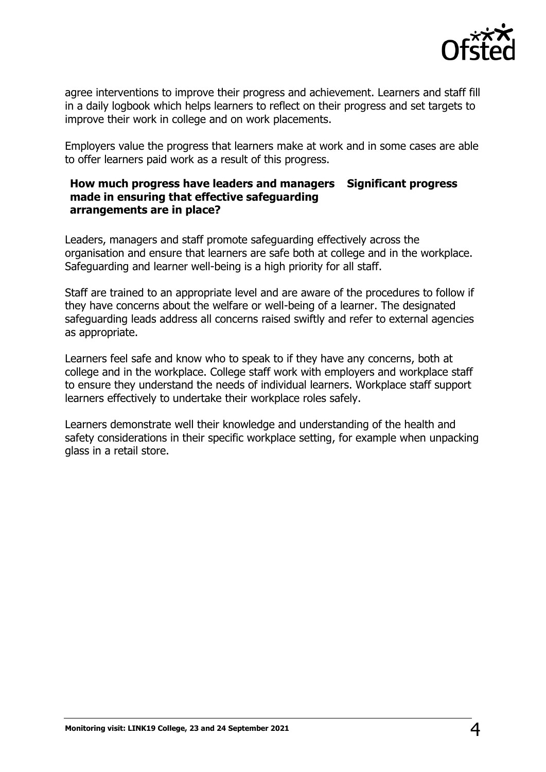

agree interventions to improve their progress and achievement. Learners and staff fill in a daily logbook which helps learners to reflect on their progress and set targets to improve their work in college and on work placements.

Employers value the progress that learners make at work and in some cases are able to offer learners paid work as a result of this progress.

#### **How much progress have leaders and managers Significant progress made in ensuring that effective safeguarding arrangements are in place?**

Leaders, managers and staff promote safeguarding effectively across the organisation and ensure that learners are safe both at college and in the workplace. Safeguarding and learner well-being is a high priority for all staff.

Staff are trained to an appropriate level and are aware of the procedures to follow if they have concerns about the welfare or well-being of a learner. The designated safeguarding leads address all concerns raised swiftly and refer to external agencies as appropriate.

Learners feel safe and know who to speak to if they have any concerns, both at college and in the workplace. College staff work with employers and workplace staff to ensure they understand the needs of individual learners. Workplace staff support learners effectively to undertake their workplace roles safely.

Learners demonstrate well their knowledge and understanding of the health and safety considerations in their specific workplace setting, for example when unpacking glass in a retail store.